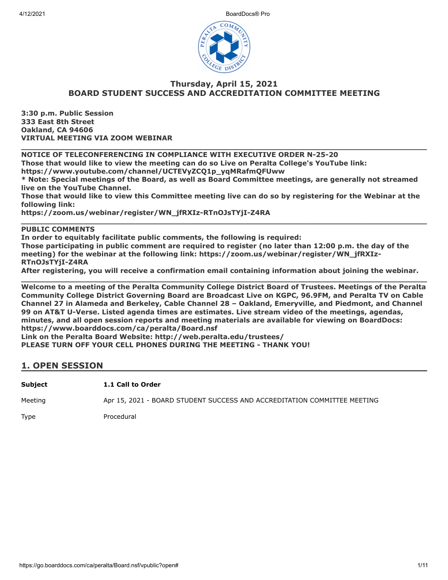

#### **Thursday, April 15, 2021 BOARD STUDENT SUCCESS AND ACCREDITATION COMMITTEE MEETING**

**\_\_\_\_\_\_\_\_\_\_\_\_\_\_\_\_\_\_\_\_\_\_\_\_\_\_\_\_\_\_\_\_\_\_\_\_\_\_\_\_\_\_\_\_\_\_\_\_\_\_\_\_\_\_\_\_\_\_\_\_\_\_\_\_\_\_\_\_\_\_\_\_\_\_\_\_\_\_\_\_\_\_\_\_\_**

**3:30 p.m. Public Session 333 East 8th Street Oakland, CA 94606 VIRTUAL MEETING VIA ZOOM WEBINAR**

**NOTICE OF TELECONFERENCING IN COMPLIANCE WITH EXECUTIVE ORDER N-25-20**

**Those that would like to view the meeting can do so Live on Peralta College's YouTube link:**

**https://www.youtube.com/channel/UCTEVyZCQ1p\_yqMRafmQFUww**

**\* Note: Special meetings of the Board, as well as Board Committee meetings, are generally not streamed live on the YouTube Channel.**

**Those that would like to view this Committee meeting live can do so by registering for the Webinar at the following link:**

**\_\_\_\_\_\_\_\_\_\_\_\_\_\_\_\_\_\_\_\_\_\_\_\_\_\_\_\_\_\_\_\_\_\_\_\_\_\_\_\_\_\_\_\_\_\_\_\_\_\_\_\_\_\_\_\_\_\_\_\_\_\_\_\_\_\_\_\_\_\_\_\_\_\_\_\_\_\_\_\_\_\_\_\_\_**

**https://zoom.us/webinar/register/WN\_jfRXIz-RTnOJsTYjI-Z4RA**

#### **PUBLIC COMMENTS**

**In order to equitably facilitate public comments, the following is required: Those participating in public comment are required to register (no later than 12:00 p.m. the day of the meeting) for the webinar at the following link: https://zoom.us/webinar/register/WN\_jfRXIz-RTnOJsTYjI-Z4RA**

**After registering, you will receive a confirmation email containing information about joining the webinar. \_\_\_\_\_\_\_\_\_\_\_\_\_\_\_\_\_\_\_\_\_\_\_\_\_\_\_\_\_\_\_\_\_\_\_\_\_\_\_\_\_\_\_\_\_\_\_\_\_\_\_\_\_\_\_\_\_\_\_\_\_\_\_\_\_\_\_\_\_\_\_\_\_\_\_\_\_\_\_\_\_\_\_\_\_**

**Welcome to a meeting of the Peralta Community College District Board of Trustees. Meetings of the Peralta Community College District Governing Board are Broadcast Live on KGPC, 96.9FM, and Peralta TV on Cable Channel 27 in Alameda and Berkeley, Cable Channel 28 – Oakland, Emeryville, and Piedmont, and Channel 99 on AT&T U-Verse. Listed agenda times are estimates. Live stream video of the meetings, agendas, minutes, and all open session reports and meeting materials are available for viewing on BoardDocs: https://www.boarddocs.com/ca/peralta/Board.nsf**

**Link on the Peralta Board Website: http://web.peralta.edu/trustees/**

**PLEASE TURN OFF YOUR CELL PHONES DURING THE MEETING - THANK YOU!**

#### **1. OPEN SESSION**

**Subject 1.1 Call to Order**

Meeting **Apr 15, 2021 - BOARD STUDENT SUCCESS AND ACCREDITATION COMMITTEE MEETING** 

Type Procedural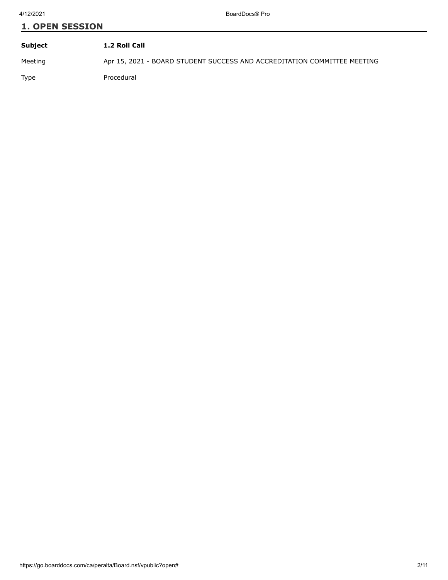# **1. OPEN SESSION Subject 1.2 Roll Call**

Meeting Apr 15, 2021 - BOARD STUDENT SUCCESS AND ACCREDITATION COMMITTEE MEETING Type Procedural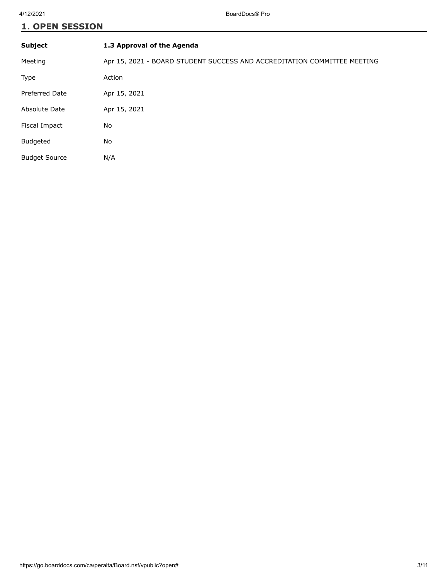## **1. OPEN SESSION**

| <b>Subject</b>        | 1.3 Approval of the Agenda                                               |
|-----------------------|--------------------------------------------------------------------------|
| Meeting               | Apr 15, 2021 - BOARD STUDENT SUCCESS AND ACCREDITATION COMMITTEE MEETING |
| Type                  | Action                                                                   |
| <b>Preferred Date</b> | Apr 15, 2021                                                             |
| Absolute Date         | Apr 15, 2021                                                             |
| Fiscal Impact         | No                                                                       |
| <b>Budgeted</b>       | No                                                                       |
| <b>Budget Source</b>  | N/A                                                                      |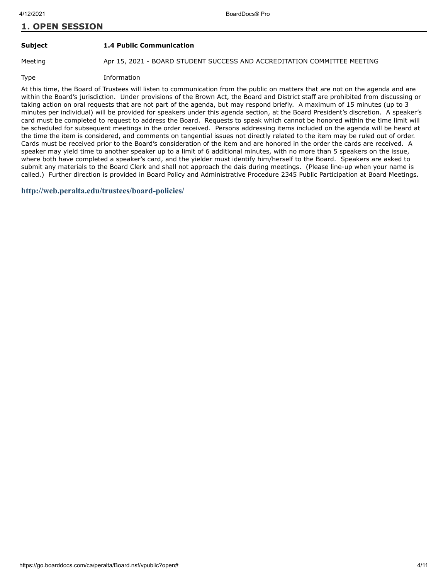### **1. OPEN SESSION**

**Subject 1.4 Public Communication**

Meeting **Apr 15, 2021 - BOARD STUDENT SUCCESS AND ACCREDITATION COMMITTEE MEETING** 

Type Information

At this time, the Board of Trustees will listen to communication from the public on matters that are not on the agenda and are within the Board's jurisdiction. Under provisions of the Brown Act, the Board and District staff are prohibited from discussing or taking action on oral requests that are not part of the agenda, but may respond briefly. A maximum of 15 minutes (up to 3 minutes per individual) will be provided for speakers under this agenda section, at the Board President's discretion. A speaker's card must be completed to request to address the Board. Requests to speak which cannot be honored within the time limit will be scheduled for subsequent meetings in the order received. Persons addressing items included on the agenda will be heard at the time the item is considered, and comments on tangential issues not directly related to the item may be ruled out of order. Cards must be received prior to the Board's consideration of the item and are honored in the order the cards are received. A speaker may yield time to another speaker up to a limit of 6 additional minutes, with no more than 5 speakers on the issue, where both have completed a speaker's card, and the yielder must identify him/herself to the Board. Speakers are asked to submit any materials to the Board Clerk and shall not approach the dais during meetings. (Please line-up when your name is called.) Further direction is provided in Board Policy and Administrative Procedure 2345 Public Participation at Board Meetings.

**<http://web.peralta.edu/trustees/board-policies/>**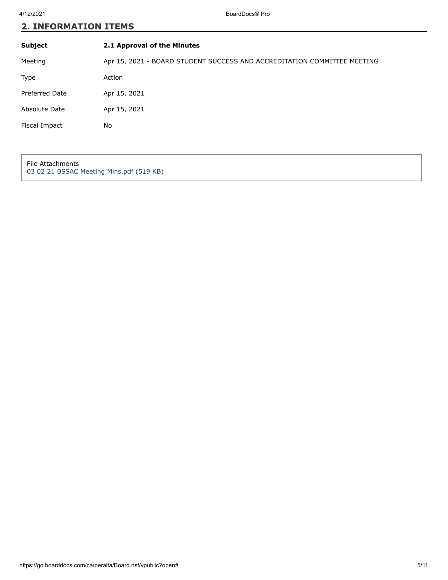| Subject               | 2.1 Approval of the Minutes                                              |
|-----------------------|--------------------------------------------------------------------------|
| Meeting               | Apr 15, 2021 - BOARD STUDENT SUCCESS AND ACCREDITATION COMMITTEE MEETING |
| <b>Type</b>           | Action                                                                   |
| <b>Preferred Date</b> | Apr 15, 2021                                                             |
| Absolute Date         | Apr 15, 2021                                                             |
| Fiscal Impact         | No                                                                       |
|                       |                                                                          |

File Attachments [03 02 21 BSSAC Meeting Mins.pdf \(519 KB\)](https://go.boarddocs.com/ca/peralta/Board.nsf/files/BZUMAF588C2B/$file/03%2002%2021%20BSSAC%20Meeting%20Mins.pdf)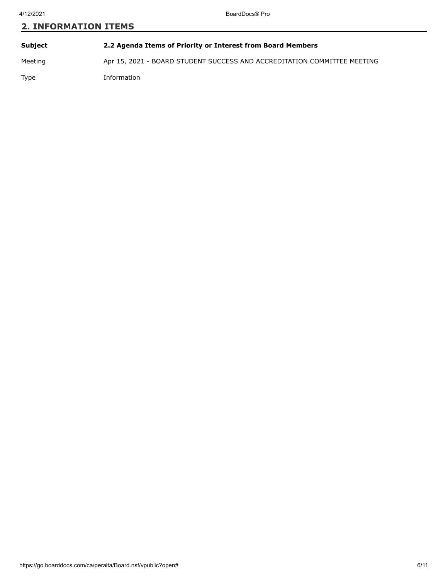**Subject 2.2 Agenda Items of Priority or Interest from Board Members** Meeting Apr 15, 2021 - BOARD STUDENT SUCCESS AND ACCREDITATION COMMITTEE MEETING Type Information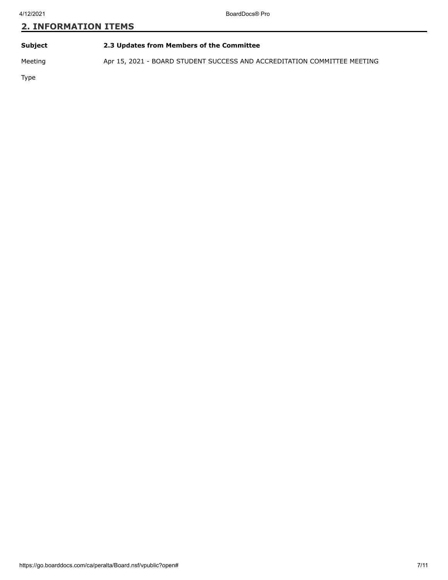| Subject | 2.3 Updates from Members of the Committee |
|---------|-------------------------------------------|
|         |                                           |

Meeting Apr 15, 2021 - BOARD STUDENT SUCCESS AND ACCREDITATION COMMITTEE MEETING

Type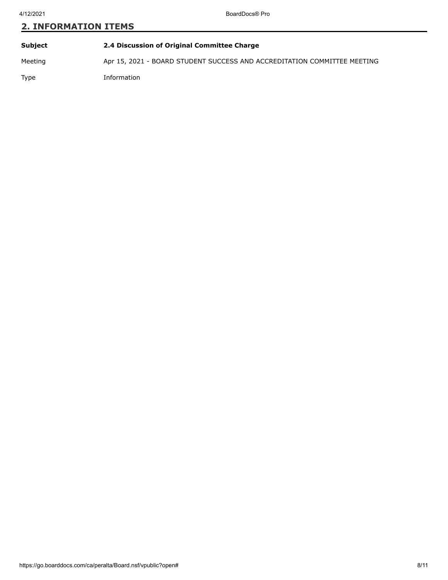**Subject 2.4 Discussion of Original Committee Charge** Meeting Apr 15, 2021 - BOARD STUDENT SUCCESS AND ACCREDITATION COMMITTEE MEETING Type Information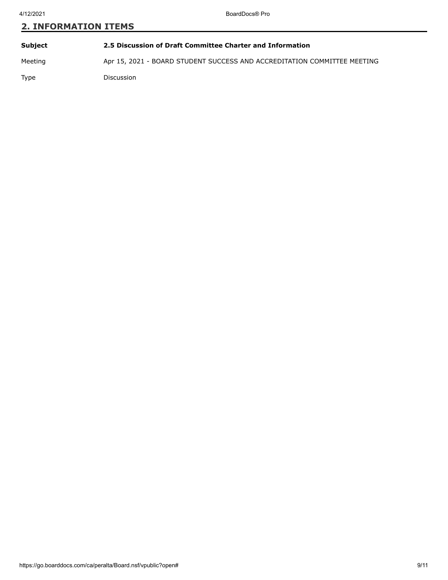| <b>Subject</b> | 2.5 Discussion of Draft Committee Charter and Information                |
|----------------|--------------------------------------------------------------------------|
| Meeting        | Apr 15, 2021 - BOARD STUDENT SUCCESS AND ACCREDITATION COMMITTEE MEETING |
| <b>Type</b>    | <b>Discussion</b>                                                        |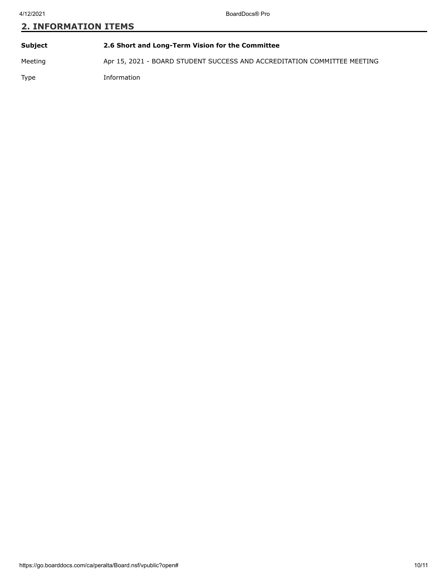**Subject 2.6 Short and Long-Term Vision for the Committee** Meeting Apr 15, 2021 - BOARD STUDENT SUCCESS AND ACCREDITATION COMMITTEE MEETING Type Information